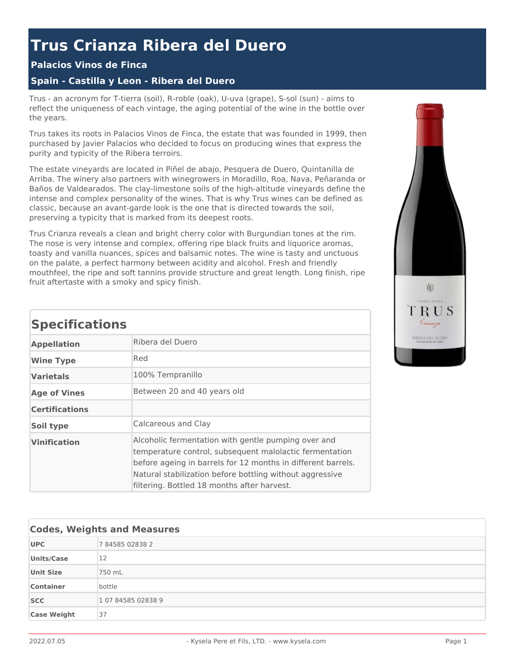# **Trus Crianza Ribera del Duero**

### **Palacios Vinos de Finca**

### **Spain - Castilla y Leon - Ribera del Duero**

Trus - an acronym for T-tierra (soil), R-roble (oak), U-uva (grape), S-sol (sun) - aims to reflect the uniqueness of each vintage, the aging potential of the wine in the bottle over the years.

Trus takes its roots in Palacios Vinos de Finca, the estate that was founded in 1999, then purchased by Javier Palacios who decided to focus on producing wines that express the purity and typicity of the Ribera terroirs.

The estate vineyards are located in Piñel de abajo, Pesquera de Duero, Quintanilla de Arriba. The winery also partners with winegrowers in Moradillo, Roa, Nava, Peñaranda or Baños de Valdearados. The clay-limestone soils of the high-altitude vineyards define the intense and complex personality of the wines. That is why Trus wines can be defined as classic, because an avant-garde look is the one that is directed towards the soil, preserving a typicity that is marked from its deepest roots.

Trus Crianza reveals a clean and bright cherry color with Burgundian tones at the rim. The nose is very intense and complex, offering ripe black fruits and liquorice aromas, toasty and vanilla nuances, spices and balsamic notes. The wine is tasty and unctuous on the palate, a perfect harmony between acidity and alcohol. Fresh and friendly mouthfeel, the ripe and soft tannins provide structure and great length. Long finish, ripe fruit aftertaste with a smoky and spicy finish.



## **Specifications**

| <b>Appellation</b>    | Ribera del Duero                                                                                                                                                                                                                                                                          |  |  |
|-----------------------|-------------------------------------------------------------------------------------------------------------------------------------------------------------------------------------------------------------------------------------------------------------------------------------------|--|--|
| <b>Wine Type</b>      | Red                                                                                                                                                                                                                                                                                       |  |  |
| <b>Varietals</b>      | 100% Tempranillo                                                                                                                                                                                                                                                                          |  |  |
| <b>Age of Vines</b>   | Between 20 and 40 years old                                                                                                                                                                                                                                                               |  |  |
| <b>Certifications</b> |                                                                                                                                                                                                                                                                                           |  |  |
| Soil type             | Calcareous and Clay                                                                                                                                                                                                                                                                       |  |  |
| <b>Vinification</b>   | Alcoholic fermentation with gentle pumping over and<br>temperature control, subsequent malolactic fermentation<br>before ageing in barrels for 12 months in different barrels.<br>Natural stabilization before bottling without aggressive<br>filtering. Bottled 18 months after harvest. |  |  |

| <b>Codes, Weights and Measures</b> |                    |  |
|------------------------------------|--------------------|--|
| <b>UPC</b>                         | 784585028382       |  |
| <b>Units/Case</b>                  | 12                 |  |
| <b>Unit Size</b>                   | 750 mL             |  |
| <b>Container</b>                   | bottle             |  |
| <b>SCC</b>                         | 1 07 84585 02838 9 |  |
| <b>Case Weight</b>                 | 37                 |  |